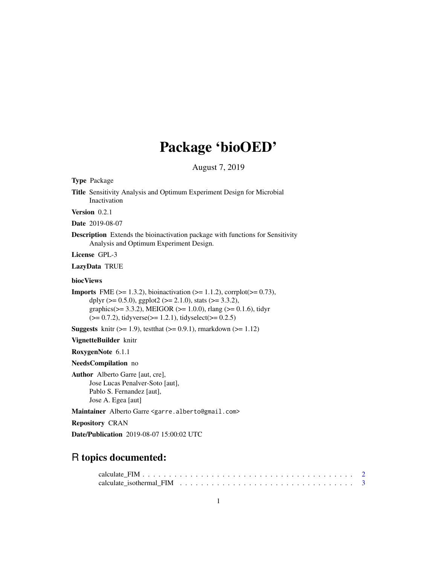# Package 'bioOED'

August 7, 2019

<span id="page-0-0"></span>Type Package

Title Sensitivity Analysis and Optimum Experiment Design for Microbial Inactivation

Version 0.2.1

Date 2019-08-07

Description Extends the bioinactivation package with functions for Sensitivity Analysis and Optimum Experiment Design.

License GPL-3

LazyData TRUE

#### biocViews

**Imports** FME ( $>= 1.3.2$ ), bioinactivation ( $>= 1.1.2$ ), corrplot( $>= 0.73$ ), dplyr ( $> = 0.5.0$ ), ggplot2 ( $> = 2.1.0$ ), stats ( $> = 3.3.2$ ), graphics( $>= 3.3.2$ ), MEIGOR ( $>= 1.0.0$ ), rlang ( $>= 0.1.6$ ), tidyr  $(>= 0.7.2)$ , tidyverse $(>= 1.2.1)$ , tidyselect $(>= 0.2.5)$ 

**Suggests** knitr  $(>= 1.9)$ , test that  $(>= 0.9.1)$ , rmarkdown  $(>= 1.12)$ 

VignetteBuilder knitr

RoxygenNote 6.1.1

NeedsCompilation no

Author Alberto Garre [aut, cre], Jose Lucas Penalver-Soto [aut], Pablo S. Fernandez [aut], Jose A. Egea [aut]

Maintainer Alberto Garre <garre.alberto@gmail.com>

Repository CRAN

Date/Publication 2019-08-07 15:00:02 UTC

# R topics documented:

| calculate isothermal FIM $\ldots$ , $\ldots$ , $\ldots$ , $\ldots$ , $\ldots$ , $\ldots$ , $\ldots$ , $\ldots$ , $\ldots$ , $\frac{3}{2}$ |  |  |  |  |  |  |  |  |  |  |  |  |  |  |  |  |  |
|-------------------------------------------------------------------------------------------------------------------------------------------|--|--|--|--|--|--|--|--|--|--|--|--|--|--|--|--|--|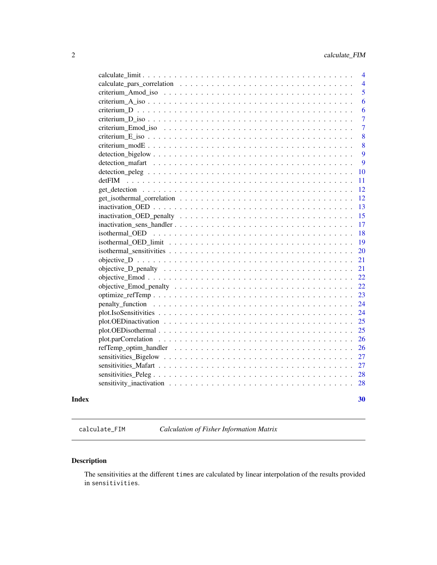<span id="page-1-0"></span>

| 10                                                                                                                       |
|--------------------------------------------------------------------------------------------------------------------------|
| 11                                                                                                                       |
| 12                                                                                                                       |
| 12                                                                                                                       |
| 13                                                                                                                       |
| 15                                                                                                                       |
| 17                                                                                                                       |
| 18                                                                                                                       |
| 19                                                                                                                       |
| 20                                                                                                                       |
| 21                                                                                                                       |
| 21                                                                                                                       |
| 22                                                                                                                       |
| 22                                                                                                                       |
| 23                                                                                                                       |
| 24                                                                                                                       |
| 24                                                                                                                       |
| 25<br>plot. OEDinactivation $\ldots \ldots \ldots \ldots \ldots \ldots \ldots \ldots \ldots \ldots \ldots \ldots \ldots$ |
| 25                                                                                                                       |
| 26                                                                                                                       |
| 26                                                                                                                       |
| 27                                                                                                                       |
| 27                                                                                                                       |
| 28                                                                                                                       |
| 28                                                                                                                       |
|                                                                                                                          |
| 30                                                                                                                       |
|                                                                                                                          |

calculate\_FIM *Calculation of Fisher Information Matrix*

# Description

The sensitivities at the different times are calculated by linear interpolation of the results provided in sensitivities.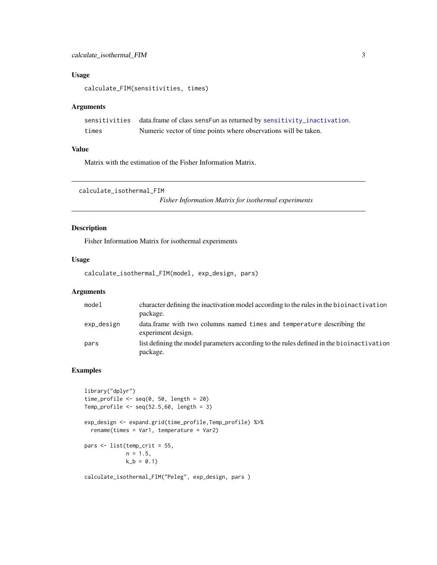#### <span id="page-2-0"></span>Usage

calculate\_FIM(sensitivities, times)

#### Arguments

|       | sensitivities data.frame of class sensFun as returned by sensitivity_inactivation. |
|-------|------------------------------------------------------------------------------------|
| times | Numeric vector of time points where observations will be taken.                    |

#### Value

Matrix with the estimation of the Fisher Information Matrix.

calculate\_isothermal\_FIM

*Fisher Information Matrix for isothermal experiments*

#### Description

Fisher Information Matrix for isothermal experiments

#### Usage

calculate\_isothermal\_FIM(model, exp\_design, pars)

#### Arguments

| mode1      | character defining the inactivation model according to the rules in the biolinactivation<br>package. |
|------------|------------------------------------------------------------------------------------------------------|
| exp_design | data. frame with two columns named times and temperature describing the<br>experiment design.        |
| pars       | list defining the model parameters according to the rules defined in the bioinactivation<br>package. |

### Examples

```
library("dplyr")
time_profile \leq seq(0, 50, length = 20)
Temp_profile \leq seq(52.5,60, length = 3)
exp_design <- expand.grid(time_profile,Temp_profile) %>%
  rename(times = Var1, temperature = Var2)
pars <- list(temp_crit = 55,
             n = 1.5,
             k_b = 0.1
```
calculate\_isothermal\_FIM("Peleg", exp\_design, pars )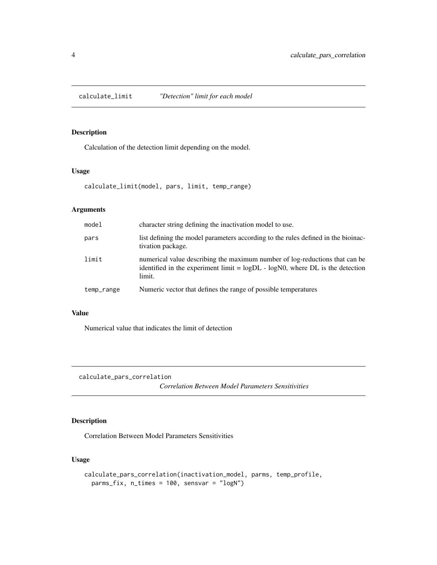<span id="page-3-0"></span>calculate\_limit *"Detection" limit for each model*

#### Description

Calculation of the detection limit depending on the model.

#### Usage

calculate\_limit(model, pars, limit, temp\_range)

#### Arguments

| model      | character string defining the inactivation model to use.                                                                                                                   |
|------------|----------------------------------------------------------------------------------------------------------------------------------------------------------------------------|
| pars       | list defining the model parameters according to the rules defined in the bioinac-<br>tivation package.                                                                     |
| limit      | numerical value describing the maximum number of log-reductions that can be<br>identified in the experiment limit $=$ logDL $-$ logN0, where DL is the detection<br>limit. |
| temp_range | Numeric vector that defines the range of possible temperatures                                                                                                             |

#### Value

Numerical value that indicates the limit of detection

calculate\_pars\_correlation

*Correlation Between Model Parameters Sensitivities*

#### Description

Correlation Between Model Parameters Sensitivities

#### Usage

```
calculate_pars_correlation(inactivation_model, parms, temp_profile,
 parms_fix, n_times = 100, sensvar = "logN")
```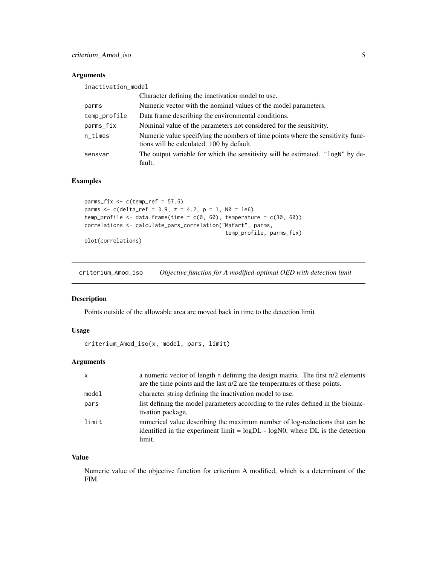#### <span id="page-4-0"></span>Arguments

| inactivation_model |                                                                                                                              |
|--------------------|------------------------------------------------------------------------------------------------------------------------------|
|                    | Character defining the inactivation model to use.                                                                            |
| parms              | Numeric vector with the nominal values of the model parameters.                                                              |
| temp_profile       | Data frame describing the environmental conditions.                                                                          |
| parms_fix          | Nominal value of the parameters not considered for the sensitivity.                                                          |
| $n$ _times         | Numeric value specifying the nombers of time points where the sensitivity func-<br>tions will be calculated. 100 by default. |
| sensvar            | The output variable for which the sensitivity will be estimated. "logN" by de-<br>fault.                                     |

#### Examples

```
params_fix \leq c(temp_ref = 57.5)parms <- c(delta_ref = 3.9, z = 4.2, p = 1, N0 = 1e6)
temp_profile \leq data.frame(time = c(0, 60), temperature = c(30, 60))
correlations <- calculate_pars_correlation("Mafart", parms,
                                             temp_profile, parms_fix)
```
plot(correlations)

criterium\_Amod\_iso *Objective function for A modified-optimal OED with detection limit*

#### Description

Points outside of the allowable area are moved back in time to the detection limit

#### Usage

criterium\_Amod\_iso(x, model, pars, limit)

#### Arguments

| $\mathsf{x}$ | a numeric vector of length n defining the design matrix. The first n/2 elements<br>are the time points and the last n/2 are the temperatures of these points.             |
|--------------|---------------------------------------------------------------------------------------------------------------------------------------------------------------------------|
| model        | character string defining the inactivation model to use.                                                                                                                  |
| pars         | list defining the model parameters according to the rules defined in the biomac-<br>tivation package.                                                                     |
| limit        | numerical value describing the maximum number of log-reductions that can be<br>identified in the experiment limit = $logDL - logNO$ , where DL is the detection<br>limit. |

#### Value

Numeric value of the objective function for criterium A modified, which is a determinant of the FIM.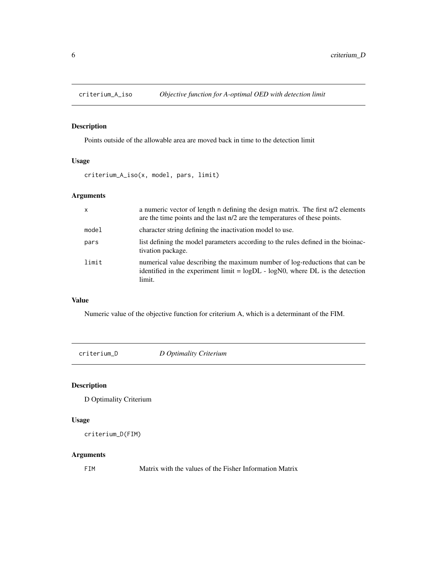<span id="page-5-0"></span>

Points outside of the allowable area are moved back in time to the detection limit

# Usage

criterium\_A\_iso(x, model, pars, limit)

#### Arguments

| $\mathsf{x}$ | a numeric vector of length n defining the design matrix. The first n/2 elements<br>are the time points and the last n/2 are the temperatures of these points.             |
|--------------|---------------------------------------------------------------------------------------------------------------------------------------------------------------------------|
| model        | character string defining the inactivation model to use.                                                                                                                  |
| pars         | list defining the model parameters according to the rules defined in the biomac-<br>tivation package.                                                                     |
| limit        | numerical value describing the maximum number of log-reductions that can be<br>identified in the experiment limit = $logDL - logNO$ , where DL is the detection<br>limit. |

# Value

Numeric value of the objective function for criterium A, which is a determinant of the FIM.

criterium\_D *D Optimality Criterium*

# Description

D Optimality Criterium

#### Usage

```
criterium_D(FIM)
```
#### Arguments

FIM Matrix with the values of the Fisher Information Matrix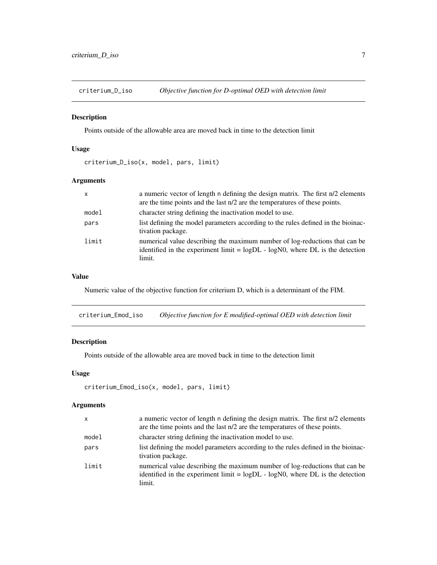<span id="page-6-0"></span>criterium\_D\_iso *Objective function for D-optimal OED with detection limit*

#### Description

Points outside of the allowable area are moved back in time to the detection limit

#### Usage

criterium\_D\_iso(x, model, pars, limit)

### Arguments

| $\mathsf{x}$ | a numeric vector of length n defining the design matrix. The first n/2 elements<br>are the time points and the last n/2 are the temperatures of these points.             |
|--------------|---------------------------------------------------------------------------------------------------------------------------------------------------------------------------|
| model        | character string defining the inactivation model to use.                                                                                                                  |
| pars         | list defining the model parameters according to the rules defined in the biomac-<br>tivation package.                                                                     |
| limit        | numerical value describing the maximum number of log-reductions that can be<br>identified in the experiment limit = $logDL - logNO$ , where DL is the detection<br>limit. |

# Value

Numeric value of the objective function for criterium D, which is a determinant of the FIM.

criterium\_Emod\_iso *Objective function for E modified-optimal OED with detection limit*

# Description

Points outside of the allowable area are moved back in time to the detection limit

#### Usage

```
criterium_Emod_iso(x, model, pars, limit)
```

| $\mathsf{x}$ | a numeric vector of length n defining the design matrix. The first n/2 elements<br>are the time points and the last n/2 are the temperatures of these points.             |
|--------------|---------------------------------------------------------------------------------------------------------------------------------------------------------------------------|
| model        | character string defining the inactivation model to use.                                                                                                                  |
| pars         | list defining the model parameters according to the rules defined in the bioinac-<br>tivation package.                                                                    |
| limit        | numerical value describing the maximum number of log-reductions that can be<br>identified in the experiment limit = $logDL - logNO$ , where DL is the detection<br>limit. |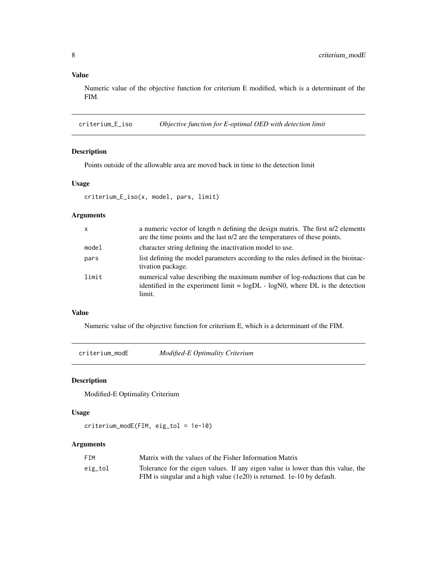# Value

Numeric value of the objective function for criterium E modified, which is a determinant of the FIM.

criterium\_E\_iso *Objective function for E-optimal OED with detection limit*

#### Description

Points outside of the allowable area are moved back in time to the detection limit

#### Usage

```
criterium_E_iso(x, model, pars, limit)
```
#### Arguments

| $\mathsf{x}$ | a numeric vector of length n defining the design matrix. The first n/2 elements<br>are the time points and the last n/2 are the temperatures of these points.             |
|--------------|---------------------------------------------------------------------------------------------------------------------------------------------------------------------------|
| model        | character string defining the inactivation model to use.                                                                                                                  |
| pars         | list defining the model parameters according to the rules defined in the bioinac-<br>tivation package.                                                                    |
| limit        | numerical value describing the maximum number of log-reductions that can be<br>identified in the experiment limit = $logDL - logNO$ , where DL is the detection<br>limit. |

#### Value

Numeric value of the objective function for criterium E, which is a determinant of the FIM.

criterium\_modE *Modified-E Optimality Criterium*

# Description

Modified-E Optimality Criterium

# Usage

criterium\_modE(FIM, eig\_tol = 1e-10)

| FTM     | Matrix with the values of the Fisher Information Matrix                          |
|---------|----------------------------------------------------------------------------------|
| eig_tol | Tolerance for the eigen values. If any eigen value is lower than this value, the |
|         | FIM is singular and a high value (1e20) is returned. 1e-10 by default.           |

<span id="page-7-0"></span>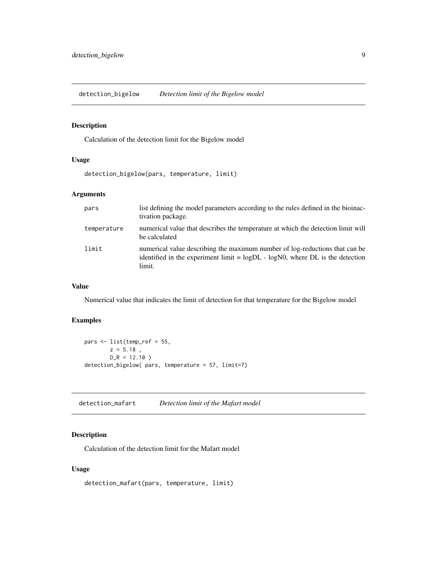<span id="page-8-0"></span>detection\_bigelow *Detection limit of the Bigelow model*

# Description

Calculation of the detection limit for the Bigelow model

#### Usage

detection\_bigelow(pars, temperature, limit)

#### Arguments

| pars        | list defining the model parameters according to the rules defined in the biomac-<br>tivation package.                                                                      |
|-------------|----------------------------------------------------------------------------------------------------------------------------------------------------------------------------|
| temperature | numerical value that describes the temperature at which the detection limit will<br>be calculated                                                                          |
| limit       | numerical value describing the maximum number of log-reductions that can be<br>identified in the experiment limit $=$ logDL $-$ logN0, where DL is the detection<br>limit. |

#### Value

Numerical value that indicates the limit of detection for that temperature for the Bigelow model

#### Examples

```
pars <- list(temp_ref = 55,
       z = 5.18,
       D_R = 12.10 )
detection_bigelow( pars, temperature = 57, limit=7)
```
detection\_mafart *Detection limit of the Mafart model*

#### Description

Calculation of the detection limit for the Mafart model

#### Usage

detection\_mafart(pars, temperature, limit)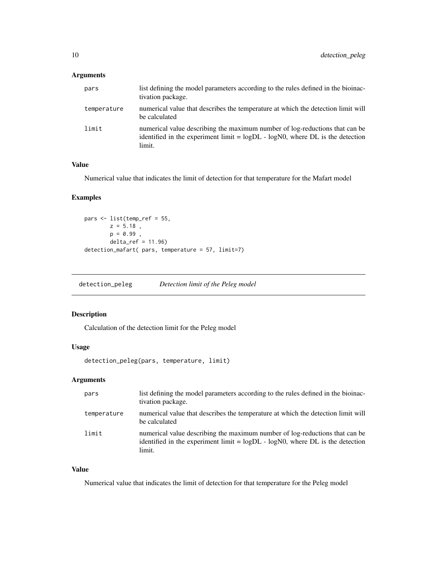#### <span id="page-9-0"></span>Arguments

| pars        | list defining the model parameters according to the rules defined in the biomac-<br>tivation package.                                                                      |
|-------------|----------------------------------------------------------------------------------------------------------------------------------------------------------------------------|
| temperature | numerical value that describes the temperature at which the detection limit will<br>be calculated                                                                          |
| limit       | numerical value describing the maximum number of log-reductions that can be<br>identified in the experiment limit $=$ logDL $-$ logN0, where DL is the detection<br>limit. |

## Value

Numerical value that indicates the limit of detection for that temperature for the Mafart model

# Examples

```
pars <- list(temp_ref = 55,
       z = 5.18,
       p = 0.99,
       delta_ref = 11.96)
detection_mafart( pars, temperature = 57, limit=7)
```
detection\_peleg *Detection limit of the Peleg model*

#### Description

Calculation of the detection limit for the Peleg model

#### Usage

```
detection_peleg(pars, temperature, limit)
```
#### Arguments

| pars        | list defining the model parameters according to the rules defined in the biomac-<br>tivation package.                                                                     |
|-------------|---------------------------------------------------------------------------------------------------------------------------------------------------------------------------|
| temperature | numerical value that describes the temperature at which the detection limit will<br>be calculated                                                                         |
| limit       | numerical value describing the maximum number of log-reductions that can be<br>identified in the experiment limit = $logDL - logNO$ , where DL is the detection<br>limit. |

#### Value

Numerical value that indicates the limit of detection for that temperature for the Peleg model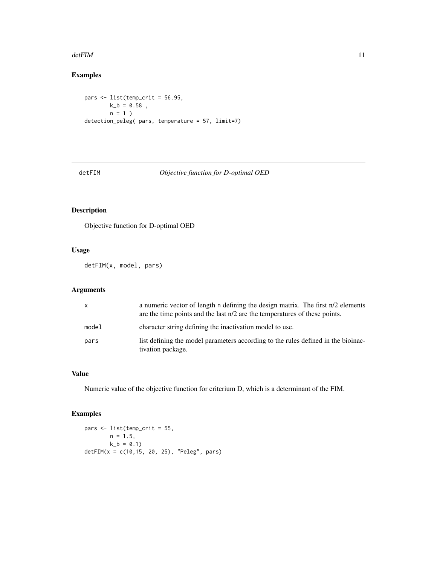#### <span id="page-10-0"></span> $\det$ FIM 11

# Examples

```
pars \le list(temp_crit = 56.95,
       k_b = 0.58,
       n = 1detection_peleg( pars, temperature = 57, limit=7)
```
detFIM *Objective function for D-optimal OED*

# Description

Objective function for D-optimal OED

#### Usage

detFIM(x, model, pars)

#### Arguments

| $\mathsf{x}$ | a numeric vector of length n defining the design matrix. The first n/2 elements<br>are the time points and the last n/2 are the temperatures of these points. |
|--------------|---------------------------------------------------------------------------------------------------------------------------------------------------------------|
| model        | character string defining the inactivation model to use.                                                                                                      |
| pars         | list defining the model parameters according to the rules defined in the biomac-<br>tivation package.                                                         |

# Value

Numeric value of the objective function for criterium D, which is a determinant of the FIM.

# Examples

```
pars <- list(temp_crit = 55,
       n = 1.5,
       k_b = 0.1detFIM(x = c(10, 15, 20, 25), "Peleg", pars)
```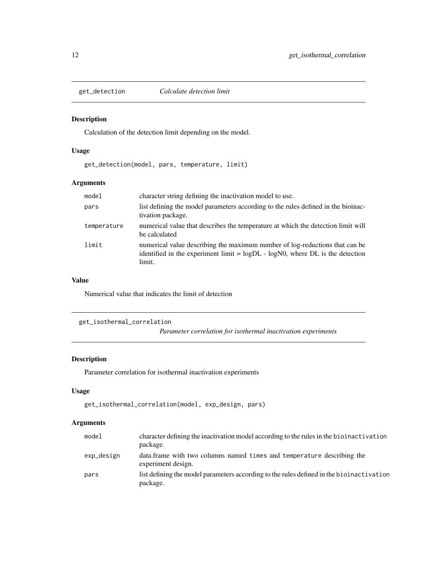<span id="page-11-0"></span>

Calculation of the detection limit depending on the model.

#### Usage

get\_detection(model, pars, temperature, limit)

#### Arguments

| model       | character string defining the inactivation model to use.                                                                                                                  |
|-------------|---------------------------------------------------------------------------------------------------------------------------------------------------------------------------|
| pars        | list defining the model parameters according to the rules defined in the bioinac-<br>tivation package.                                                                    |
| temperature | numerical value that describes the temperature at which the detection limit will<br>be calculated                                                                         |
| limit       | numerical value describing the maximum number of log-reductions that can be<br>identified in the experiment limit = $logDL - logNO$ , where DL is the detection<br>limit. |

#### Value

Numerical value that indicates the limit of detection

```
get_isothermal_correlation
```
*Parameter correlation for isothermal inactivation experiments*

# Description

Parameter correlation for isothermal inactivation experiments

#### Usage

```
get_isothermal_correlation(model, exp_design, pars)
```

| model      | character defining the inactivation model according to the rules in the biolinactivation<br>package. |
|------------|------------------------------------------------------------------------------------------------------|
| exp_design | data, frame with two columns named times and temperature describing the<br>experiment design.        |
| pars       | list defining the model parameters according to the rules defined in the bioinactivation<br>package. |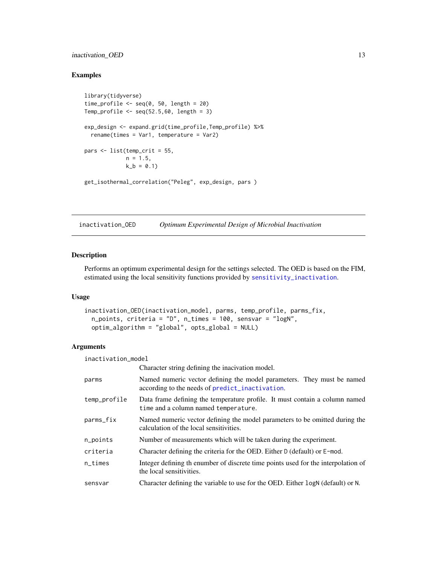#### <span id="page-12-0"></span>inactivation\_OED 13

#### Examples

```
library(tidyverse)
time_profile \leq seq(0, 50, length = 20)
Temp_profile \leq seq(52.5,60, length = 3)
exp_design <- expand.grid(time_profile,Temp_profile) %>%
  rename(times = Var1, temperature = Var2)
pars \leq list(temp_crit = 55,
             n = 1.5,
             k_b = 0.1get_isothermal_correlation("Peleg", exp_design, pars )
```
inactivation\_OED *Optimum Experimental Design of Microbial Inactivation*

#### Description

Performs an optimum experimental design for the settings selected. The OED is based on the FIM, estimated using the local sensitivity functions provided by [sensitivity\\_inactivation](#page-27-1).

#### Usage

```
inactivation_OED(inactivation_model, parms, temp_profile, parms_fix,
 n_points, criteria = "D", n_times = 100, sensvar = "logN",
 optim_algorithm = "global", opts_global = NULL)
```

| inactivation_model |                                                                                                                           |  |
|--------------------|---------------------------------------------------------------------------------------------------------------------------|--|
|                    | Character string defining the inacivation model.                                                                          |  |
| parms              | Named numeric vector defining the model parameters. They must be named<br>according to the needs of predict_inactivation. |  |
| temp_profile       | Data frame defining the temperature profile. It must contain a column named<br>time and a column named temperature.       |  |
| parms_fix          | Named numeric vector defining the model parameters to be omitted during the<br>calculation of the local sensitivities.    |  |
| n_points           | Number of measurements which will be taken during the experiment.                                                         |  |
| criteria           | Character defining the criteria for the OED. Either D (default) or E-mod.                                                 |  |
| $n$ _times         | Integer defining the number of discrete time points used for the interpolation of<br>the local sensitivities.             |  |
| sensvar            | Character defining the variable to use for the OED. Either logN (default) or N.                                           |  |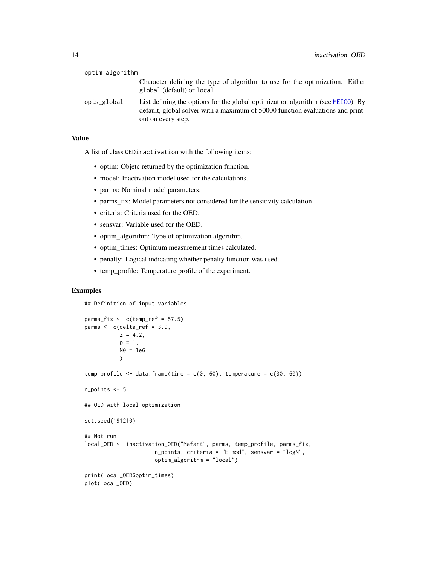<span id="page-13-0"></span>

| optim_algorithm |                                                                                                                                                                                            |
|-----------------|--------------------------------------------------------------------------------------------------------------------------------------------------------------------------------------------|
|                 | Character defining the type of algorithm to use for the optimization. Either<br>global (default) or local.                                                                                 |
| opts_global     | List defining the options for the global optimization algorithm (see $MEIGO$ ). By<br>default, global solver with a maximum of 50000 function evaluations and print-<br>out on every step. |

# Value

A list of class OEDinactivation with the following items:

- optim: Objetc returned by the optimization function.
- model: Inactivation model used for the calculations.
- parms: Nominal model parameters.
- parms\_fix: Model parameters not considered for the sensitivity calculation.
- criteria: Criteria used for the OED.
- sensvar: Variable used for the OED.
- optim\_algorithm: Type of optimization algorithm.
- optim\_times: Optimum measurement times calculated.
- penalty: Logical indicating whether penalty function was used.
- temp\_profile: Temperature profile of the experiment.

#### Examples

## Definition of input variables

```
params_fix \leq c(temp_ref = 57.5)parms <- c(delta_ref = 3.9,
          z = 4.2,
          p = 1,
          N0 = 1e6\lambdatemp_profile <- data.frame(time = c(0, 60), temperature = c(30, 60))
n_points <- 5
## OED with local optimization
set.seed(191210)
## Not run:
local_OED <- inactivation_OED("Mafart", parms, temp_profile, parms_fix,
                      n_points, criteria = "E-mod", sensvar = "logN",
                      optim_algorithm = "local")
print(local_OED$optim_times)
plot(local_OED)
```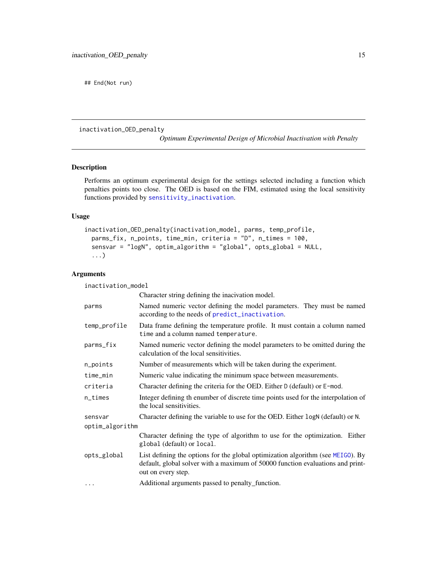<span id="page-14-0"></span>## End(Not run)

inactivation\_OED\_penalty

*Optimum Experimental Design of Microbial Inactivation with Penalty*

#### Description

Performs an optimum experimental design for the settings selected including a function which penalties points too close. The OED is based on the FIM, estimated using the local sensitivity functions provided by [sensitivity\\_inactivation](#page-27-1).

#### Usage

```
inactivation_OED_penalty(inactivation_model, parms, temp_profile,
 parms_fix, n_points, time_min, criteria = "D", n_times = 100,
 sensvar = "logN", optim_algorithm = "global", opts_global = NULL,
  ...)
```
#### Arguments

inactivation\_model

|                 | Character string defining the inacivation model.                                                                                                                                        |  |
|-----------------|-----------------------------------------------------------------------------------------------------------------------------------------------------------------------------------------|--|
| parms           | Named numeric vector defining the model parameters. They must be named<br>according to the needs of predict_inactivation.                                                               |  |
| temp_profile    | Data frame defining the temperature profile. It must contain a column named<br>time and a column named temperature.                                                                     |  |
| parms_fix       | Named numeric vector defining the model parameters to be omitted during the<br>calculation of the local sensitivities.                                                                  |  |
| n_points        | Number of measurements which will be taken during the experiment.                                                                                                                       |  |
| time_min        | Numeric value indicating the minimum space between measurements.                                                                                                                        |  |
| criteria        | Character defining the criteria for the OED. Either D (default) or E-mod.                                                                                                               |  |
| n_times         | Integer defining th enumber of discrete time points used for the interpolation of<br>the local sensitivities.                                                                           |  |
| sensvar         | Character defining the variable to use for the OED. Either logN (default) or N.                                                                                                         |  |
| optim_algorithm |                                                                                                                                                                                         |  |
|                 | Character defining the type of algorithm to use for the optimization. Either<br>global (default) or local.                                                                              |  |
| opts_global     | List defining the options for the global optimization algorithm (see MEIGO). By<br>default, global solver with a maximum of 50000 function evaluations and print-<br>out on every step. |  |
| $\cdots$        | Additional arguments passed to penalty function.                                                                                                                                        |  |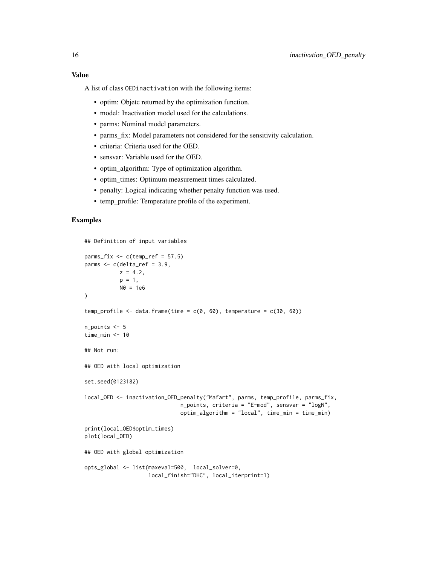#### Value

A list of class OEDinactivation with the following items:

- optim: Objetc returned by the optimization function.
- model: Inactivation model used for the calculations.
- parms: Nominal model parameters.
- parms\_fix: Model parameters not considered for the sensitivity calculation.
- criteria: Criteria used for the OED.
- sensvar: Variable used for the OED.
- optim\_algorithm: Type of optimization algorithm.
- optim\_times: Optimum measurement times calculated.
- penalty: Logical indicating whether penalty function was used.
- temp\_profile: Temperature profile of the experiment.

#### Examples

```
## Definition of input variables
parms_fix \leq c(temp_ref = 57.5)
parms \leq c(delta_ref = 3.9,
          z = 4.2,
          p = 1,
          N0 = 1e6)
temp_profile <- data.frame(time = c(0, 60), temperature = c(30, 60))
n_points <- 5
time_min <- 10
## Not run:
## OED with local optimization
set.seed(0123182)
local_OED <- inactivation_OED_penalty("Mafart", parms, temp_profile, parms_fix,
                              n_points, criteria = "E-mod", sensvar = "logN",
                              optim_algorithm = "local", time_min = time_min)
print(local_OED$optim_times)
plot(local_OED)
## OED with global optimization
opts_global <- list(maxeval=500, local_solver=0,
                    local_finish="DHC", local_iterprint=1)
```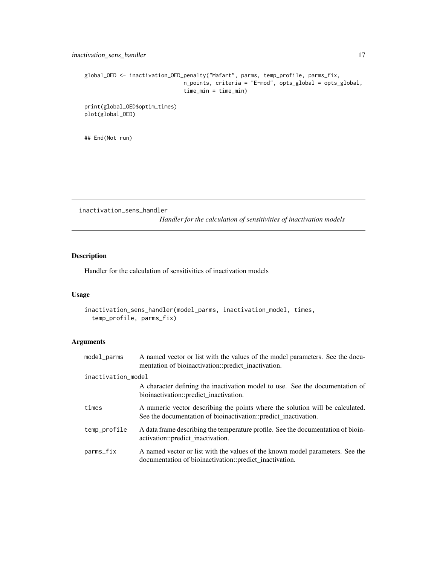```
global_OED <- inactivation_OED_penalty("Mafart", parms, temp_profile, parms_fix,
                               n_points, criteria = "E-mod", opts_global = opts_global,
                               time_min = time_min)
```
print(global\_OED\$optim\_times) plot(global\_OED)

## End(Not run)

inactivation\_sens\_handler

*Handler for the calculation of sensitivities of inactivation models*

#### Description

Handler for the calculation of sensitivities of inactivation models

#### Usage

```
inactivation_sens_handler(model_parms, inactivation_model, times,
 temp_profile, parms_fix)
```

| model_parms        | A named vector or list with the values of the model parameters. See the docu-<br>mentation of bioinactivation::predict_inactivation.             |
|--------------------|--------------------------------------------------------------------------------------------------------------------------------------------------|
| inactivation_model |                                                                                                                                                  |
|                    | A character defining the inactivation model to use. See the documentation of<br>bioinactivation::predict_inactivation.                           |
| times              | A numeric vector describing the points where the solution will be calculated.<br>See the documentation of bioinactivation::predict_inactivation. |
| temp_profile       | A data frame describing the temperature profile. See the documentation of bioin-<br>activation::predict_inactivation.                            |
| parms_fix          | A named vector or list with the values of the known model parameters. See the<br>documentation of bioinactivation::predict_inactivation.         |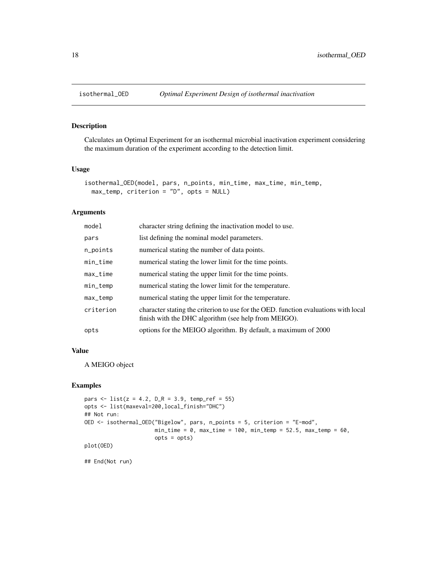<span id="page-17-0"></span>

Calculates an Optimal Experiment for an isothermal microbial inactivation experiment considering the maximum duration of the experiment according to the detection limit.

#### Usage

```
isothermal_OED(model, pars, n_points, min_time, max_time, min_temp,
 max_temp, criterion = "D", opts = NULL)
```
#### Arguments

| model       | character string defining the inactivation model to use.                                                                                    |
|-------------|---------------------------------------------------------------------------------------------------------------------------------------------|
| pars        | list defining the nominal model parameters.                                                                                                 |
| n_points    | numerical stating the number of data points.                                                                                                |
| $min\_time$ | numerical stating the lower limit for the time points.                                                                                      |
| $max_time$  | numerical stating the upper limit for the time points.                                                                                      |
| min_temp    | numerical stating the lower limit for the temperature.                                                                                      |
| $max_t$     | numerical stating the upper limit for the temperature.                                                                                      |
| criterion   | character stating the criterion to use for the OED. function evaluations with local<br>finish with the DHC algorithm (see help from MEIGO). |
| opts        | options for the MEIGO algorithm. By default, a maximum of 2000                                                                              |

#### Value

A MEIGO object

#### Examples

```
pars \le list(z = 4.2, D_R = 3.9, temp_ref = 55)
opts <- list(maxeval=200,local_finish="DHC")
## Not run:
OED <- isothermal_OED("Bigelow", pars, n_points = 5, criterion = "E-mod",
                      min\_time = 0, max\_time = 100, min\_temp = 52.5, max\_temp = 60,
                      opts = opts)
plot(OED)
```
## End(Not run)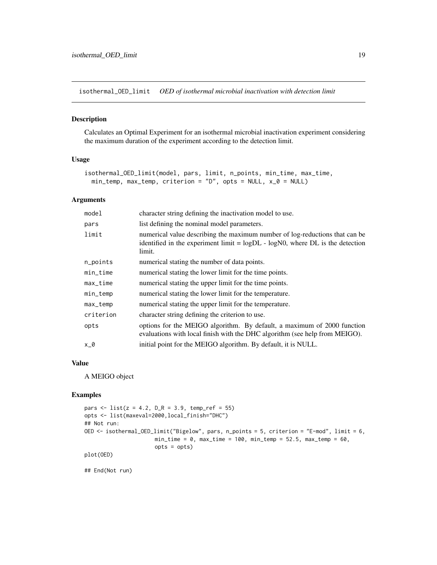<span id="page-18-0"></span>isothermal\_OED\_limit *OED of isothermal microbial inactivation with detection limit*

#### Description

Calculates an Optimal Experiment for an isothermal microbial inactivation experiment considering the maximum duration of the experiment according to the detection limit.

#### Usage

```
isothermal_OED_limit(model, pars, limit, n_points, min_time, max_time,
  min_{\text{temp}}, max_{\text{temp}}, criterion = "D", opts = NULL, x_{\text{p}} = NULL)
```
#### Arguments

| model       | character string defining the inactivation model to use.                                                                                                                  |
|-------------|---------------------------------------------------------------------------------------------------------------------------------------------------------------------------|
| pars        | list defining the nominal model parameters.                                                                                                                               |
| limit       | numerical value describing the maximum number of log-reductions that can be<br>identified in the experiment limit = $logDL - logNO$ , where DL is the detection<br>limit. |
| n_points    | numerical stating the number of data points.                                                                                                                              |
| $min\_time$ | numerical stating the lower limit for the time points.                                                                                                                    |
| $max_time$  | numerical stating the upper limit for the time points.                                                                                                                    |
| min_temp    | numerical stating the lower limit for the temperature.                                                                                                                    |
| max_temp    | numerical stating the upper limit for the temperature.                                                                                                                    |
| criterion   | character string defining the criterion to use.                                                                                                                           |
| opts        | options for the MEIGO algorithm. By default, a maximum of 2000 function<br>evaluations with local finish with the DHC algorithm (see help from MEIGO).                    |
| x_0         | initial point for the MEIGO algorithm. By default, it is NULL.                                                                                                            |

#### Value

A MEIGO object

#### Examples

```
pars \le list(z = 4.2, D_R = 3.9, temp_ref = 55)
opts <- list(maxeval=2000,local_finish="DHC")
## Not run:
OED <- isothermal_OED_limit("Bigelow", pars, n_points = 5, criterion = "E-mod", limit = 6,
                      min_time = 0, max_time = 100, min_time = 52.5, max<u>temp = 60,</u>
                      opts = opts)
plot(OED)
```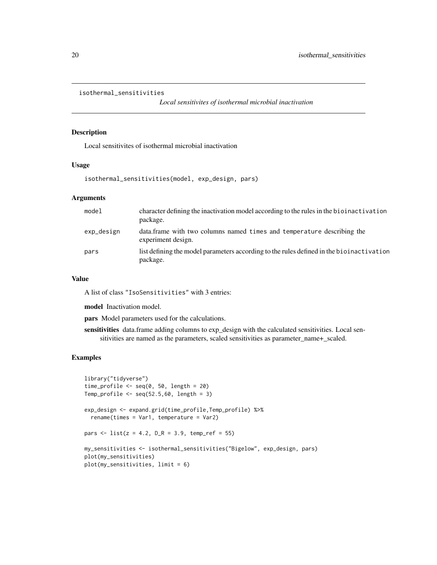```
isothermal_sensitivities
```
*Local sensitivites of isothermal microbial inactivation*

#### Description

Local sensitivites of isothermal microbial inactivation

#### Usage

isothermal\_sensitivities(model, exp\_design, pars)

#### Arguments

| model      | character defining the inactivation model according to the rules in the biolinactivation<br>package. |
|------------|------------------------------------------------------------------------------------------------------|
| exp_design | data, frame with two columns named times and temperature describing the<br>experiment design.        |
| pars       | list defining the model parameters according to the rules defined in the bioinactivation<br>package. |

#### Value

A list of class "IsoSensitivities" with 3 entries:

model Inactivation model.

pars Model parameters used for the calculations.

sensitivities data.frame adding columns to exp\_design with the calculated sensitivities. Local sensitivities are named as the parameters, scaled sensitivities as parameter\_name+\_scaled.

#### Examples

```
library("tidyverse")
time_profile \leq seq(0, 50, length = 20)
Temp_profile \leq seq(52.5,60, length = 3)
exp_design <- expand.grid(time_profile,Temp_profile) %>%
 rename(times = Var1, temperature = Var2)
pars <- list(z = 4.2, D_R = 3.9, temp_ref = 55)
my_sensitivities <- isothermal_sensitivities("Bigelow", exp_design, pars)
plot(my_sensitivities)
plot(my_sensitivities, limit = 6)
```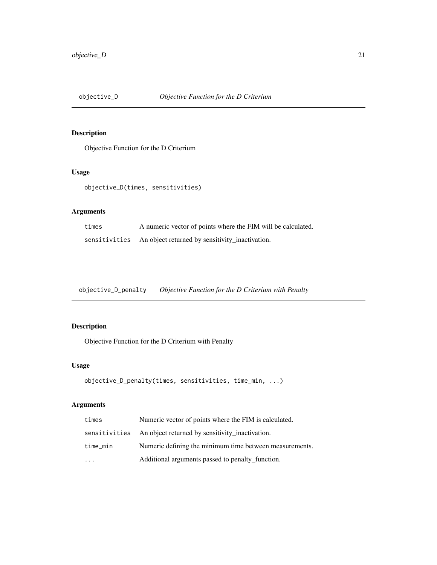<span id="page-20-0"></span>

Objective Function for the D Criterium

#### Usage

objective\_D(times, sensitivities)

#### Arguments

| times | A numeric vector of points where the FIM will be calculated.  |
|-------|---------------------------------------------------------------|
|       | sensitivities An object returned by sensitivity_inactivation. |

objective\_D\_penalty *Objective Function for the D Criterium with Penalty*

# Description

Objective Function for the D Criterium with Penalty

# Usage

```
objective_D_penalty(times, sensitivities, time_min, ...)
```

| times                   | Numeric vector of points where the FIM is calculated.         |  |
|-------------------------|---------------------------------------------------------------|--|
|                         | sensitivities An object returned by sensitivity inactivation. |  |
| time_min                | Numeric defining the minimum time between measurements.       |  |
| $\cdot$ $\cdot$ $\cdot$ | Additional arguments passed to penalty function.              |  |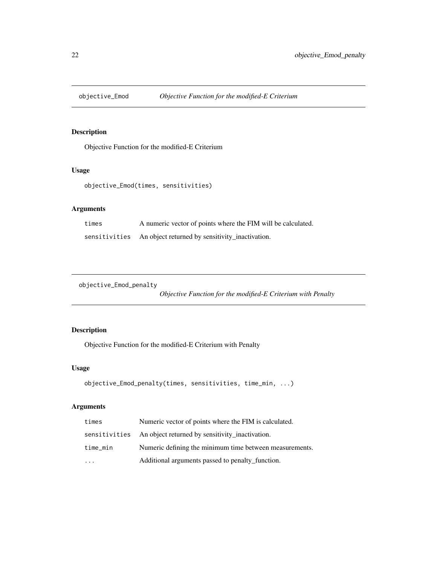<span id="page-21-0"></span>

Objective Function for the modified-E Criterium

#### Usage

```
objective_Emod(times, sensitivities)
```
# Arguments

| times | A numeric vector of points where the FIM will be calculated.  |
|-------|---------------------------------------------------------------|
|       | sensitivities An object returned by sensitivity_inactivation. |

objective\_Emod\_penalty

*Objective Function for the modified-E Criterium with Penalty*

# Description

Objective Function for the modified-E Criterium with Penalty

#### Usage

```
objective_Emod_penalty(times, sensitivities, time_min, ...)
```

| times    | Numeric vector of points where the FIM is calculated.         |  |
|----------|---------------------------------------------------------------|--|
|          | sensitivities An object returned by sensitivity inactivation. |  |
| time_min | Numeric defining the minimum time between measurements.       |  |
| $\cdot$  | Additional arguments passed to penalty_function.              |  |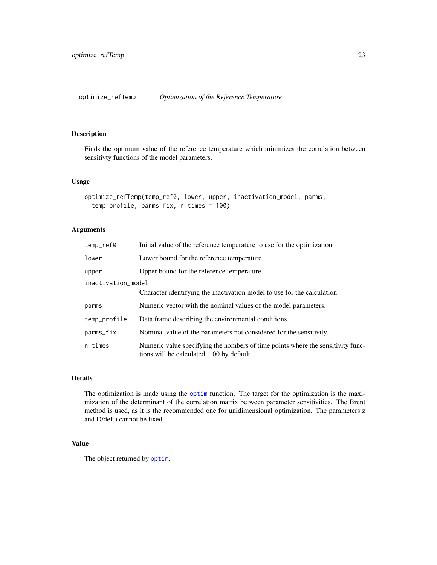<span id="page-22-0"></span>optimize\_refTemp *Optimization of the Reference Temperature*

#### Description

Finds the optimum value of the reference temperature which minimizes the correlation between sensitivty functions of the model parameters.

#### Usage

```
optimize_refTemp(temp_ref0, lower, upper, inactivation_model, parms,
  temp_profile, parms_fix, n_times = 100)
```
#### Arguments

| temp_ref0          | Initial value of the reference temperature to use for the optimization.                                                      |  |
|--------------------|------------------------------------------------------------------------------------------------------------------------------|--|
| lower              | Lower bound for the reference temperature.                                                                                   |  |
| upper              | Upper bound for the reference temperature.                                                                                   |  |
| inactivation_model |                                                                                                                              |  |
|                    | Character identifying the inactivation model to use for the calculation.                                                     |  |
| parms              | Numeric vector with the nominal values of the model parameters.                                                              |  |
| temp_profile       | Data frame describing the environmental conditions.                                                                          |  |
| parms_fix          | Nominal value of the parameters not considered for the sensitivity.                                                          |  |
| $n$ _times         | Numeric value specifying the nombers of time points where the sensitivity func-<br>tions will be calculated. 100 by default. |  |

#### Details

The optimization is made using the [optim](#page-0-0) function. The target for the optimization is the maximization of the determinant of the correlation matrix between parameter sensitivities. The Brent method is used, as it is the recommended one for unidimensional optimization. The parameters z and D/delta cannot be fixed.

# Value

The object returned by [optim](#page-0-0).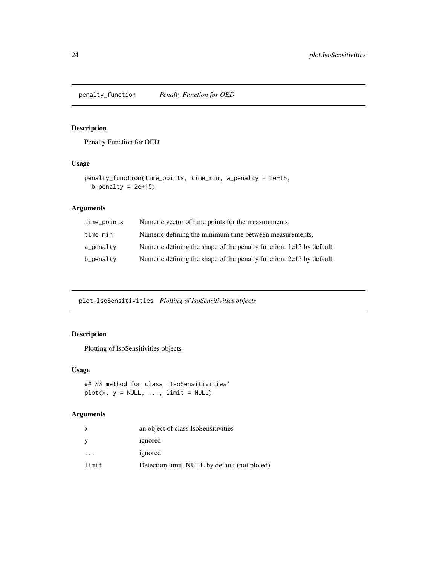<span id="page-23-0"></span>penalty\_function *Penalty Function for OED*

#### Description

Penalty Function for OED

#### Usage

```
penalty_function(time_points, time_min, a_penalty = 1e+15,
 b_penalty = 2e+15)
```
# Arguments

| time_points | Numeric vector of time points for the measurements.                  |
|-------------|----------------------------------------------------------------------|
| time_min    | Numeric defining the minimum time between measurements.              |
| $a$ penalty | Numeric defining the shape of the penalty function. 1e15 by default. |
| b_penalty   | Numeric defining the shape of the penalty function. 2e15 by default. |

plot.IsoSensitivities *Plotting of IsoSensitivities objects*

# Description

Plotting of IsoSensitivities objects

#### Usage

```
## S3 method for class 'IsoSensitivities'
plot(x, y = NULL, ..., limit = NULL)
```

| X                       | an object of class IsoSensitivities           |  |
|-------------------------|-----------------------------------------------|--|
| y                       | ignored                                       |  |
| $\cdot$ $\cdot$ $\cdot$ | ignored                                       |  |
| limit                   | Detection limit, NULL by default (not ploted) |  |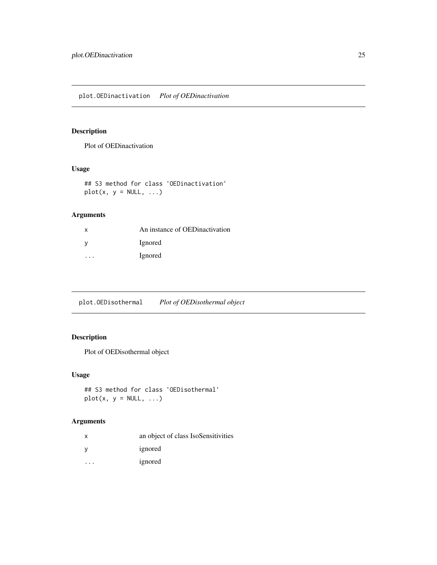<span id="page-24-0"></span>Plot of OEDinactivation

# Usage

## S3 method for class 'OEDinactivation'  $plot(x, y = NULL, ...)$ 

#### Arguments

| x       | An instance of OEDinactivation |
|---------|--------------------------------|
|         | Ignored                        |
| $\cdot$ | Ignored                        |

plot.OEDisothermal *Plot of OEDisothermal object*

# Description

Plot of OEDisothermal object

#### Usage

## S3 method for class 'OEDisothermal'  $plot(x, y = NULL, ...)$ 

| х | an object of class IsoSensitivities |
|---|-------------------------------------|
|   | ignored                             |
|   | ignored                             |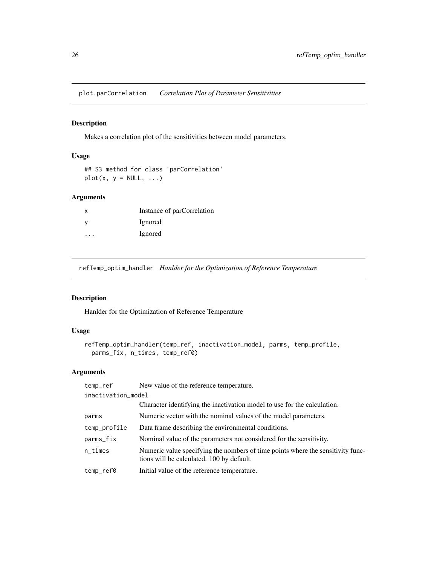<span id="page-25-0"></span>plot.parCorrelation *Correlation Plot of Parameter Sensitivities*

#### Description

Makes a correlation plot of the sensitivities between model parameters.

#### Usage

```
## S3 method for class 'parCorrelation'
plot(x, y = NULL, ...)
```
#### Arguments

| x | Instance of parCorrelation |
|---|----------------------------|
|   | Ignored                    |
| . | Ignored                    |

refTemp\_optim\_handler *Hanlder for the Optimization of Reference Temperature*

# Description

Hanlder for the Optimization of Reference Temperature

#### Usage

```
refTemp_optim_handler(temp_ref, inactivation_model, parms, temp_profile,
 parms_fix, n_times, temp_ref0)
```

| temp_ref           | New value of the reference temperature.                                                                                      |  |
|--------------------|------------------------------------------------------------------------------------------------------------------------------|--|
| inactivation_model |                                                                                                                              |  |
|                    | Character identifying the inactivation model to use for the calculation.                                                     |  |
| parms              | Numeric vector with the nominal values of the model parameters.                                                              |  |
| temp_profile       | Data frame describing the environmental conditions.                                                                          |  |
| parms_fix          | Nominal value of the parameters not considered for the sensitivity.                                                          |  |
| $n$ _times         | Numeric value specifying the nombers of time points where the sensitivity func-<br>tions will be calculated. 100 by default. |  |
| temp_ref0          | Initial value of the reference temperature.                                                                                  |  |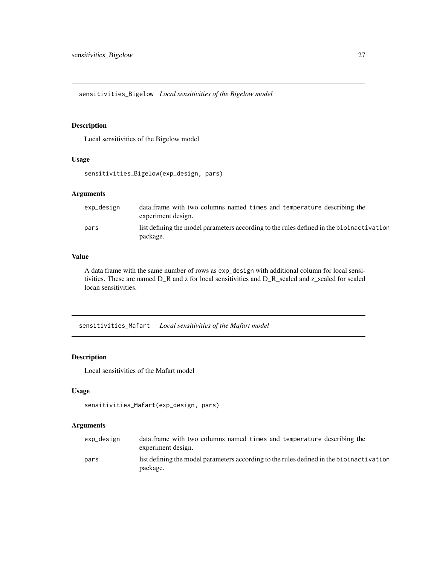<span id="page-26-0"></span>sensitivities\_Bigelow *Local sensitivities of the Bigelow model*

# Description

Local sensitivities of the Bigelow model

#### Usage

```
sensitivities_Bigelow(exp_design, pars)
```
#### Arguments

| exp_design | data. frame with two columns named times and temperature describing the<br>experiment design.        |
|------------|------------------------------------------------------------------------------------------------------|
| pars       | list defining the model parameters according to the rules defined in the bioinactivation<br>package. |

#### Value

A data frame with the same number of rows as exp\_design with additional column for local sensitivities. These are named D\_R and z for local sensitivities and D\_R\_scaled and z\_scaled for scaled locan sensitivities.

sensitivities\_Mafart *Local sensitivities of the Mafart model*

# Description

Local sensitivities of the Mafart model

#### Usage

```
sensitivities_Mafart(exp_design, pars)
```

| exp_design | data. frame with two columns named times and temperature describing the<br>experiment design.        |
|------------|------------------------------------------------------------------------------------------------------|
| pars       | list defining the model parameters according to the rules defined in the bioinactivation<br>package. |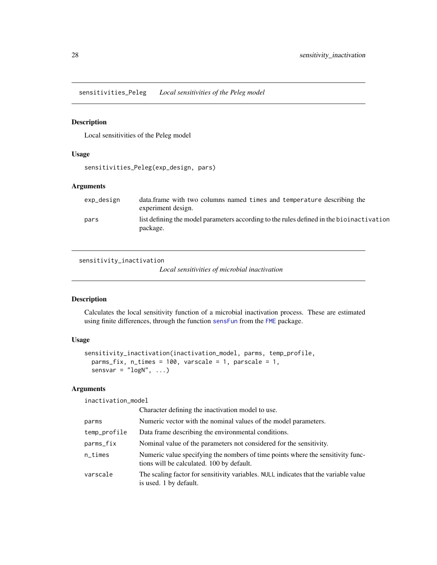<span id="page-27-0"></span>sensitivities\_Peleg *Local sensitivities of the Peleg model*

#### Description

Local sensitivities of the Peleg model

#### Usage

sensitivities\_Peleg(exp\_design, pars)

#### Arguments

| exp_design | data. frame with two columns named times and temperature describing the<br>experiment design.        |
|------------|------------------------------------------------------------------------------------------------------|
| pars       | list defining the model parameters according to the rules defined in the bioinactivation<br>package. |

<span id="page-27-1"></span>sensitivity\_inactivation

*Local sensitivities of microbial inactivation*

#### Description

Calculates the local sensitivity function of a microbial inactivation process. These are estimated using finite differences, through the function [sensFun](#page-0-0) from the [FME](#page-0-0) package.

# Usage

```
sensitivity_inactivation(inactivation_model, parms, temp_profile,
 parms_fix, n_times = 100, varscale = 1, parscale = 1,
 sensvar = "logN", ...
```
# Arguments

inactivation\_model

|              | Character defining the inactivation model to use.                                                                            |
|--------------|------------------------------------------------------------------------------------------------------------------------------|
| parms        | Numeric vector with the nominal values of the model parameters.                                                              |
| temp_profile | Data frame describing the environmental conditions.                                                                          |
| parms_fix    | Nominal value of the parameters not considered for the sensitivity.                                                          |
| n_times      | Numeric value specifying the nombers of time points where the sensitivity func-<br>tions will be calculated. 100 by default. |
| varscale     | The scaling factor for sensitivity variables. NULL indicates that the variable value<br>is used. 1 by default.               |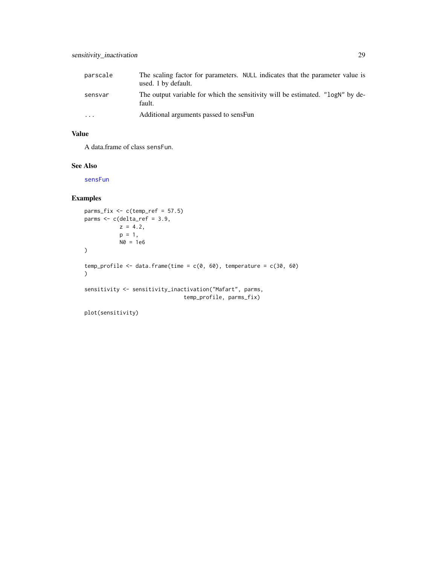<span id="page-28-0"></span>

| parscale | The scaling factor for parameters. NULL indicates that the parameter value is<br>used. 1 by default. |
|----------|------------------------------------------------------------------------------------------------------|
| sensvar  | The output variable for which the sensitivity will be estimated. "LogN" by de-<br>fault.             |
| $\cdots$ | Additional arguments passed to sensFun                                                               |

# Value

A data.frame of class sensFun.

#### See Also

[sensFun](#page-0-0)

#### Examples

```
parms_fix <- c(temp_ref = 57.5)
parms <- c(delta_ref = 3.9,
           z = 4.2,
           p = 1,
           N0 = 1e6\mathcal{L}temp_profile <- data.frame(time = c(0, 60), temperature = c(30, 60)\mathcal{L}sensitivity <- sensitivity_inactivation("Mafart", parms,
                                 temp_profile, parms_fix)
```
plot(sensitivity)